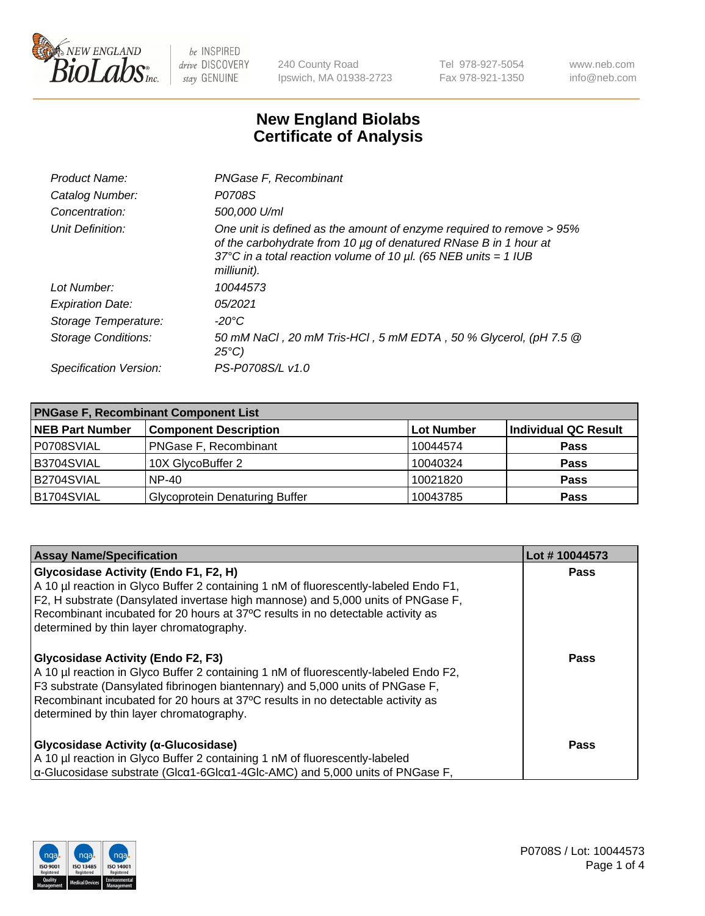

240 County Road Ipswich, MA 01938-2723 Tel 978-927-5054 Fax 978-921-1350 www.neb.com info@neb.com

## **New England Biolabs Certificate of Analysis**

| Product Name:              | PNGase F, Recombinant                                                                                                                                                                                                           |
|----------------------------|---------------------------------------------------------------------------------------------------------------------------------------------------------------------------------------------------------------------------------|
| Catalog Number:            | P0708S                                                                                                                                                                                                                          |
| Concentration:             | 500,000 U/ml                                                                                                                                                                                                                    |
| Unit Definition:           | One unit is defined as the amount of enzyme required to remove > 95%<br>of the carbohydrate from 10 µg of denatured RNase B in 1 hour at<br>37°C in a total reaction volume of 10 $\mu$ l. (65 NEB units = 1 IUB<br>milliunit). |
| Lot Number:                | 10044573                                                                                                                                                                                                                        |
| <b>Expiration Date:</b>    | 05/2021                                                                                                                                                                                                                         |
| Storage Temperature:       | -20°C                                                                                                                                                                                                                           |
| <b>Storage Conditions:</b> | 50 mM NaCl, 20 mM Tris-HCl, 5 mM EDTA, 50 % Glycerol, (pH 7.5 @<br>$25^{\circ}C$                                                                                                                                                |
| Specification Version:     | PS-P0708S/L v1.0                                                                                                                                                                                                                |

| <b>PNGase F, Recombinant Component List</b> |                                       |                   |                      |  |
|---------------------------------------------|---------------------------------------|-------------------|----------------------|--|
| <b>NEB Part Number</b>                      | <b>Component Description</b>          | <b>Lot Number</b> | Individual QC Result |  |
| P0708SVIAL                                  | <b>PNGase F, Recombinant</b>          | 10044574          | <b>Pass</b>          |  |
| B3704SVIAL                                  | 10X GlycoBuffer 2                     | 10040324          | <b>Pass</b>          |  |
| B2704SVIAL                                  | $NP-40$                               | 10021820          | <b>Pass</b>          |  |
| B1704SVIAL                                  | <b>Glycoprotein Denaturing Buffer</b> | 10043785          | <b>Pass</b>          |  |

| <b>Assay Name/Specification</b>                                                                                                                                                                                                                                                                                                                   | Lot #10044573 |
|---------------------------------------------------------------------------------------------------------------------------------------------------------------------------------------------------------------------------------------------------------------------------------------------------------------------------------------------------|---------------|
| Glycosidase Activity (Endo F1, F2, H)<br>A 10 µl reaction in Glyco Buffer 2 containing 1 nM of fluorescently-labeled Endo F1,<br>F2, H substrate (Dansylated invertase high mannose) and 5,000 units of PNGase F,                                                                                                                                 | <b>Pass</b>   |
| Recombinant incubated for 20 hours at 37°C results in no detectable activity as<br>determined by thin layer chromatography.                                                                                                                                                                                                                       |               |
| <b>Glycosidase Activity (Endo F2, F3)</b><br>A 10 µl reaction in Glyco Buffer 2 containing 1 nM of fluorescently-labeled Endo F2,<br>F3 substrate (Dansylated fibrinogen biantennary) and 5,000 units of PNGase F,<br>Recombinant incubated for 20 hours at 37°C results in no detectable activity as<br>determined by thin layer chromatography. | <b>Pass</b>   |
| Glycosidase Activity (α-Glucosidase)<br>A 10 µl reaction in Glyco Buffer 2 containing 1 nM of fluorescently-labeled<br>$\alpha$ -Glucosidase substrate (Glc $\alpha$ 1-6Glc $\alpha$ 1-4Glc-AMC) and 5,000 units of PNGase F,                                                                                                                     | <b>Pass</b>   |

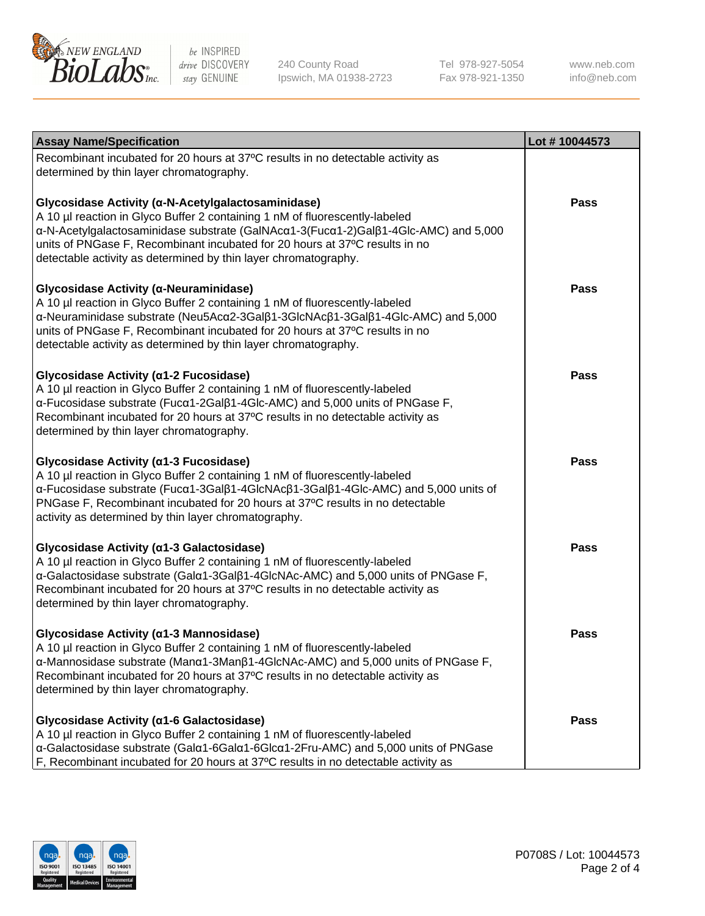

240 County Road Ipswich, MA 01938-2723 Tel 978-927-5054 Fax 978-921-1350

www.neb.com info@neb.com

| <b>Assay Name/Specification</b>                                                                                                                                                                                                                                                                                                                                            | Lot #10044573 |
|----------------------------------------------------------------------------------------------------------------------------------------------------------------------------------------------------------------------------------------------------------------------------------------------------------------------------------------------------------------------------|---------------|
| Recombinant incubated for 20 hours at 37°C results in no detectable activity as<br>determined by thin layer chromatography.                                                                                                                                                                                                                                                |               |
| Glycosidase Activity (α-N-Acetylgalactosaminidase)<br>A 10 µl reaction in Glyco Buffer 2 containing 1 nM of fluorescently-labeled<br>α-N-Acetylgalactosaminidase substrate (GalNAcα1-3(Fucα1-2)Galβ1-4Glc-AMC) and 5,000<br>units of PNGase F, Recombinant incubated for 20 hours at 37°C results in no<br>detectable activity as determined by thin layer chromatography. | Pass          |
| Glycosidase Activity (α-Neuraminidase)<br>A 10 µl reaction in Glyco Buffer 2 containing 1 nM of fluorescently-labeled<br>α-Neuraminidase substrate (Neu5Acα2-3Galβ1-3GlcNAcβ1-3Galβ1-4Glc-AMC) and 5,000<br>units of PNGase F, Recombinant incubated for 20 hours at 37°C results in no<br>detectable activity as determined by thin layer chromatography.                 | Pass          |
| Glycosidase Activity (α1-2 Fucosidase)<br>A 10 µl reaction in Glyco Buffer 2 containing 1 nM of fluorescently-labeled<br>α-Fucosidase substrate (Fucα1-2Galβ1-4Glc-AMC) and 5,000 units of PNGase F,<br>Recombinant incubated for 20 hours at 37°C results in no detectable activity as<br>determined by thin layer chromatography.                                        | Pass          |
| Glycosidase Activity (α1-3 Fucosidase)<br>A 10 µl reaction in Glyco Buffer 2 containing 1 nM of fluorescently-labeled<br>α-Fucosidase substrate (Fucα1-3Galβ1-4GlcNAcβ1-3Galβ1-4Glc-AMC) and 5,000 units of<br>PNGase F, Recombinant incubated for 20 hours at 37°C results in no detectable<br>activity as determined by thin layer chromatography.                       | <b>Pass</b>   |
| Glycosidase Activity (α1-3 Galactosidase)<br>A 10 µl reaction in Glyco Buffer 2 containing 1 nM of fluorescently-labeled<br>α-Galactosidase substrate (Galα1-3Galβ1-4GlcNAc-AMC) and 5,000 units of PNGase F,<br>Recombinant incubated for 20 hours at 37°C results in no detectable activity as<br>determined by thin layer chromatography.                               | <b>Pass</b>   |
| Glycosidase Activity (α1-3 Mannosidase)<br>A 10 µl reaction in Glyco Buffer 2 containing 1 nM of fluorescently-labeled<br>$\alpha$ -Mannosidase substrate (Man $\alpha$ 1-3Man $\beta$ 1-4GlcNAc-AMC) and 5,000 units of PNGase F,<br>Recombinant incubated for 20 hours at 37°C results in no detectable activity as<br>determined by thin layer chromatography.          | Pass          |
| Glycosidase Activity (α1-6 Galactosidase)<br>A 10 µl reaction in Glyco Buffer 2 containing 1 nM of fluorescently-labeled<br>α-Galactosidase substrate (Galα1-6Galα1-6Glcα1-2Fru-AMC) and 5,000 units of PNGase<br>F, Recombinant incubated for 20 hours at 37°C results in no detectable activity as                                                                       | Pass          |

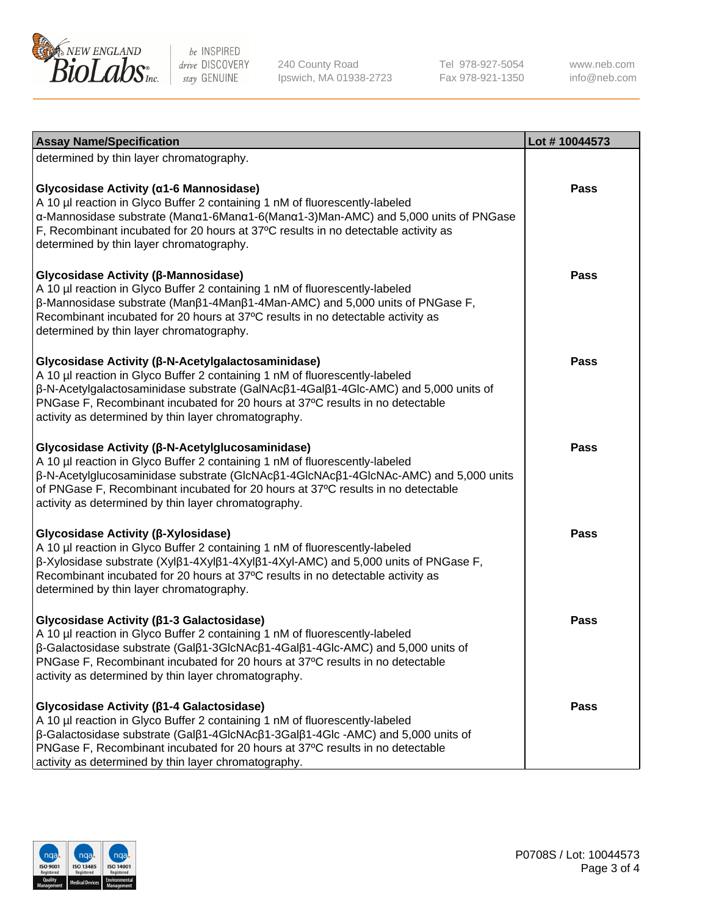

240 County Road Ipswich, MA 01938-2723 Tel 978-927-5054 Fax 978-921-1350

www.neb.com info@neb.com

| <b>Assay Name/Specification</b>                                                                                                                                                                                                                                                                                                                                     | Lot #10044573 |
|---------------------------------------------------------------------------------------------------------------------------------------------------------------------------------------------------------------------------------------------------------------------------------------------------------------------------------------------------------------------|---------------|
| determined by thin layer chromatography.                                                                                                                                                                                                                                                                                                                            |               |
| Glycosidase Activity (α1-6 Mannosidase)<br>A 10 µl reaction in Glyco Buffer 2 containing 1 nM of fluorescently-labeled<br>α-Mannosidase substrate (Manα1-6Manα1-6(Manα1-3)Man-AMC) and 5,000 units of PNGase<br>F, Recombinant incubated for 20 hours at 37°C results in no detectable activity as<br>determined by thin layer chromatography.                      | Pass          |
| Glycosidase Activity (β-Mannosidase)<br>A 10 µl reaction in Glyco Buffer 2 containing 1 nM of fluorescently-labeled<br>$\beta$ -Mannosidase substrate (Man $\beta$ 1-4Man $\beta$ 1-4Man-AMC) and 5,000 units of PNGase F,<br>Recombinant incubated for 20 hours at 37°C results in no detectable activity as<br>determined by thin layer chromatography.           | <b>Pass</b>   |
| Glycosidase Activity (β-N-Acetylgalactosaminidase)<br>A 10 µl reaction in Glyco Buffer 2 containing 1 nM of fluorescently-labeled<br>β-N-Acetylgalactosaminidase substrate (GalNAcβ1-4Galβ1-4Glc-AMC) and 5,000 units of<br>PNGase F, Recombinant incubated for 20 hours at 37°C results in no detectable<br>activity as determined by thin layer chromatography.   | Pass          |
| Glycosidase Activity (β-N-Acetylglucosaminidase)<br>A 10 µl reaction in Glyco Buffer 2 containing 1 nM of fluorescently-labeled<br>β-N-Acetylglucosaminidase substrate (GlcNAcβ1-4GlcNAcβ1-4GlcNAc-AMC) and 5,000 units<br>of PNGase F, Recombinant incubated for 20 hours at 37°C results in no detectable<br>activity as determined by thin layer chromatography. | Pass          |
| Glycosidase Activity (β-Xylosidase)<br>A 10 µl reaction in Glyco Buffer 2 containing 1 nM of fluorescently-labeled<br>β-Xylosidase substrate (Xylβ1-4Xylβ1-4Xylβ1-4Xyl-AMC) and 5,000 units of PNGase F,<br>Recombinant incubated for 20 hours at 37°C results in no detectable activity as<br>determined by thin layer chromatography.                             | <b>Pass</b>   |
| Glycosidase Activity ( $\beta$ 1-3 Galactosidase)<br>A 10 µl reaction in Glyco Buffer 2 containing 1 nM of fluorescently-labeled<br>β-Galactosidase substrate (Galβ1-3GlcNAcβ1-4Galβ1-4Glc-AMC) and 5,000 units of<br>PNGase F, Recombinant incubated for 20 hours at 37°C results in no detectable<br>activity as determined by thin layer chromatography.         | <b>Pass</b>   |
| Glycosidase Activity (ß1-4 Galactosidase)<br>A 10 µl reaction in Glyco Buffer 2 containing 1 nM of fluorescently-labeled<br>β-Galactosidase substrate (Galβ1-4GlcNAcβ1-3Galβ1-4Glc -AMC) and 5,000 units of<br>PNGase F, Recombinant incubated for 20 hours at 37°C results in no detectable<br>activity as determined by thin layer chromatography.                | <b>Pass</b>   |